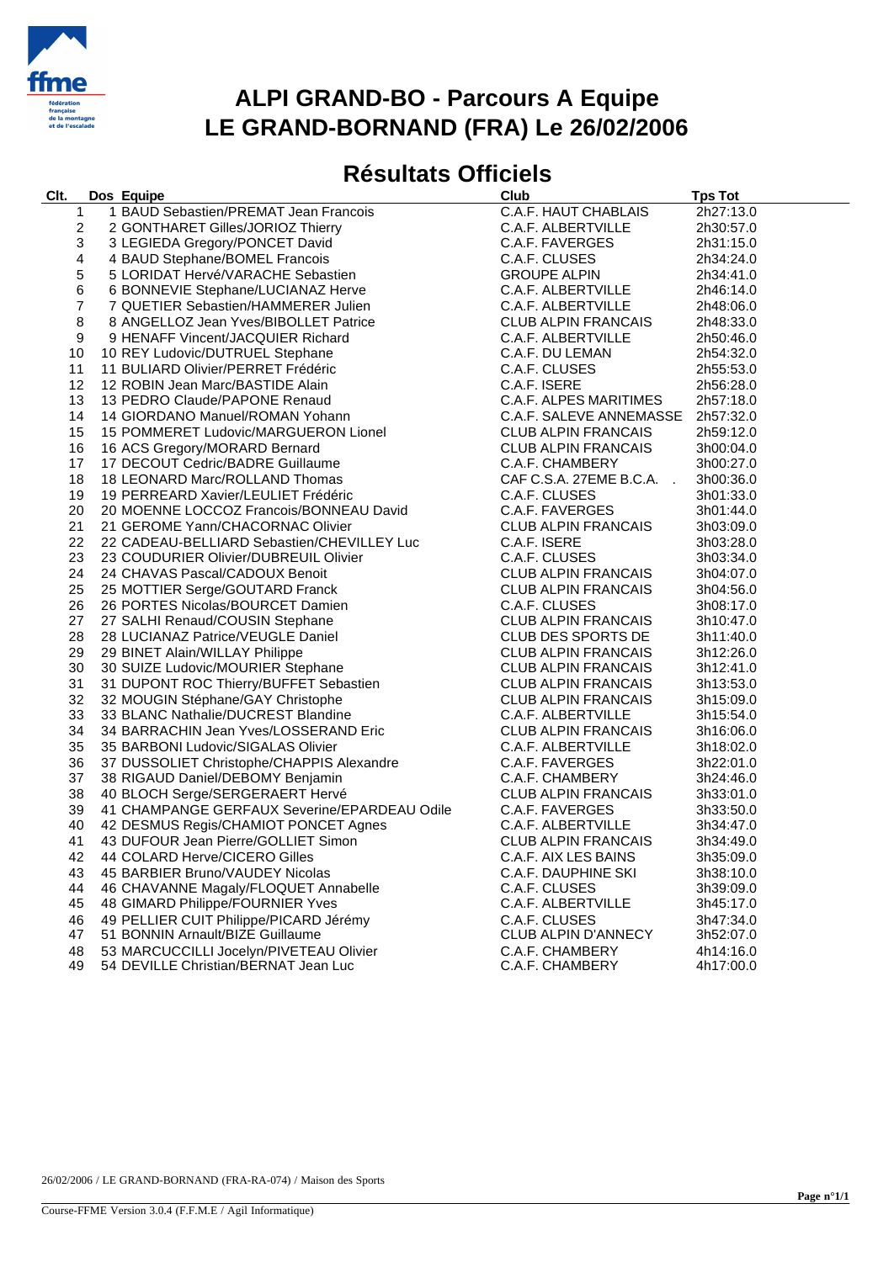

## **ALPI GRAND-BO - Parcours A Equipe LE GRAND-BORNAND (FRA) Le 26/02/2006**

## **Résultats Officiels**

| Clt.                    | Dos Equipe                                                                                                                                                                                                                                                                           | Club                       | <b>Tps Tot</b> |
|-------------------------|--------------------------------------------------------------------------------------------------------------------------------------------------------------------------------------------------------------------------------------------------------------------------------------|----------------------------|----------------|
| 1                       | 1 BAUD Sebastien/PREMAT Jean Francois                                                                                                                                                                                                                                                | C.A.F. HAUT CHABLAIS       | 2h27:13.0      |
| $\overline{\mathbf{c}}$ |                                                                                                                                                                                                                                                                                      | C.A.F. ALBERTVILLE         | 2h30:57.0      |
| 3                       |                                                                                                                                                                                                                                                                                      | C.A.F. FAVERGES            | 2h31:15.0      |
| 4                       |                                                                                                                                                                                                                                                                                      | C.A.F. CLUSES              | 2h34:24.0      |
| 5                       |                                                                                                                                                                                                                                                                                      | <b>GROUPE ALPIN</b>        | 2h34:41.0      |
| 6                       |                                                                                                                                                                                                                                                                                      | C.A.F. ALBERTVILLE         | 2h46:14.0      |
| $\overline{7}$          |                                                                                                                                                                                                                                                                                      | C.A.F. ALBERTVILLE         | 2h48:06.0      |
| 8                       |                                                                                                                                                                                                                                                                                      | <b>CLUB ALPIN FRANCAIS</b> | 2h48:33.0      |
| 9                       |                                                                                                                                                                                                                                                                                      | C.A.F. ALBERTVILLE         | 2h50:46.0      |
| 10                      |                                                                                                                                                                                                                                                                                      | C.A.F. DU LEMAN            | 2h54:32.0      |
| 11                      |                                                                                                                                                                                                                                                                                      | C.A.F. CLUSES              | 2h55:53.0      |
| 12                      |                                                                                                                                                                                                                                                                                      | C.A.F. ISERE               | 2h56:28.0      |
| 13                      |                                                                                                                                                                                                                                                                                      | C.A.F. ALPES MARITIMES     | 2h57:18.0      |
| 14                      |                                                                                                                                                                                                                                                                                      | C.A.F. SALEVE ANNEMASSE    | 2h57:32.0      |
| 15                      |                                                                                                                                                                                                                                                                                      | <b>CLUB ALPIN FRANCAIS</b> | 2h59:12.0      |
| 16                      | 1 DAUD Sebastien/PREMAT Jean Francois<br>2 GONTHARET Gilles/JORIOZ Thierry<br>3 LEGIEDA Gregory/PONCET David<br>4 BAUD Stephane/BOMEL Francois<br>5 LORIDAT Hervé/VARACHE Sebastien<br>6 BONNEVIE Stephane/LUCIANAZ Herve<br>7 QUETIER Seb                                           | <b>CLUB ALPIN FRANCAIS</b> | 3h00:04.0      |
| 17                      |                                                                                                                                                                                                                                                                                      | C.A.F. CHAMBERY            | 3h00:27.0      |
| 18                      |                                                                                                                                                                                                                                                                                      | CAF C.S.A. 27EME B.C.A.    | 3h00:36.0      |
| 19                      |                                                                                                                                                                                                                                                                                      | C.A.F. CLUSES              | 3h01:33.0      |
| 20                      | 19 PERREARD Xavier/LEULIE I Frédéric<br>20 MOENNE LOCCOZ Francois/BONNEAU David                                                                                                                                                                                                      | C.A.F. FAVERGES            | 3h01:44.0      |
| 21                      |                                                                                                                                                                                                                                                                                      | <b>CLUB ALPIN FRANCAIS</b> | 3h03:09.0      |
| 22                      |                                                                                                                                                                                                                                                                                      | C.A.F. ISERE               | 3h03:28.0      |
| 23                      |                                                                                                                                                                                                                                                                                      | C.A.F. CLUSES              | 3h03:34.0      |
| 24                      |                                                                                                                                                                                                                                                                                      | CLUB ALPIN FRANCAIS        | 3h04:07.0      |
| 25                      | 20 MOENNE LOCCOZ Francois/BONNEAU David<br>21 GEROME Yann/CHACORNAC Olivier<br>22 CADEAU-BELLIARD Sebastien/CHEVILLEY Luc<br>23 COUDURIER Olivier/DUBREUIL Olivier<br>24 CHAVAS Pascal/CADOUX Benoit<br>25 MOTTIER Serge/GOUTARD Frank<br>26 POR                                     | CLUB ALPIN FRANCAIS        | 3h04:56.0      |
| 26                      |                                                                                                                                                                                                                                                                                      | C.A.F. CLUSES              | 3h08:17.0      |
| 27                      |                                                                                                                                                                                                                                                                                      | <b>CLUB ALPIN FRANCAIS</b> | 3h10:47.0      |
| 28                      |                                                                                                                                                                                                                                                                                      | CLUB DES SPORTS DE         | 3h11:40.0      |
| 29                      |                                                                                                                                                                                                                                                                                      | CLUB ALPIN FRANCAIS        | 3h12:26.0      |
| 30                      |                                                                                                                                                                                                                                                                                      | <b>CLUB ALPIN FRANCAIS</b> | 3h12:41.0      |
| 31                      |                                                                                                                                                                                                                                                                                      | <b>CLUB ALPIN FRANCAIS</b> | 3h13:53.0      |
| 32                      |                                                                                                                                                                                                                                                                                      | <b>CLUB ALPIN FRANCAIS</b> | 3h15:09.0      |
| 33                      |                                                                                                                                                                                                                                                                                      | C.A.F. ALBERTVILLE         | 3h15:54.0      |
| 34                      |                                                                                                                                                                                                                                                                                      | <b>CLUB ALPIN FRANCAIS</b> | 3h16:06.0      |
| 35                      |                                                                                                                                                                                                                                                                                      | C.A.F. ALBERTVILLE         | 3h18:02.0      |
| 36                      |                                                                                                                                                                                                                                                                                      | C.A.F. FAVERGES            | 3h22:01.0      |
| 37                      | 38 RIGAUD Daniel/DEBOMY Benjamin                                                                                                                                                                                                                                                     | C.A.F. CHAMBERY            | 3h24:46.0      |
| 38                      | 40 BLOCH Serge/SERGERAERT Hervé                                                                                                                                                                                                                                                      | <b>CLUB ALPIN FRANCAIS</b> | 3h33:01.0      |
| 39                      | 41 CHAMPANGE GERFAUX Severine/EPARDEAU Odile                                                                                                                                                                                                                                         | C.A.F. FAVERGES            | 3h33:50.0      |
| 40                      |                                                                                                                                                                                                                                                                                      | C.A.F. ALBERTVILLE         | 3h34:47.0      |
| 41                      |                                                                                                                                                                                                                                                                                      | CLUB ALPIN FRANCAIS        | 3h34:49.0      |
| 42                      |                                                                                                                                                                                                                                                                                      | C.A.F. AIX LES BAINS       | 3h35:09.0      |
| 43                      |                                                                                                                                                                                                                                                                                      | C.A.F. DAUPHINE SKI        | 3h38:10.0      |
| 44                      |                                                                                                                                                                                                                                                                                      | C.A.F. CLUSES              | 3h39:09.0      |
| 45                      |                                                                                                                                                                                                                                                                                      | C.A.F. ALBERTVILLE         | 3h45:17.0      |
| 46                      |                                                                                                                                                                                                                                                                                      | C.A.F. CLUSES              | 3h47:34.0      |
| 47                      | 42 DESMUS Regis/CHAMIOT PONCET Agnes<br>43 DUFOUR Jean Pierre/GOLLIET Simon<br>44 COLARD Herve/CICERO Gilles<br>45 BARBIER Bruno/VAUDEY Nicolas<br>46 CHAVANNE Magaly/FLOQUET Annabelle<br>48 GIMARD Philippe/FOURNIER Yves<br>49 PELLIER CUIT P<br>51 BONNIN Arnault/BIZE Guillaume | CLUB ALPIN D'ANNECY        | 3h52:07.0      |
| 48                      | 53 MARCUCCILLI Jocelyn/PIVETEAU Olivier                                                                                                                                                                                                                                              | C.A.F. CHAMBERY            | 4h14:16.0      |
| 49                      | 54 DEVILLE Christian/BERNAT Jean Luc                                                                                                                                                                                                                                                 | C.A.F. CHAMBERY            | 4h17:00.0      |

26/02/2006 / LE GRAND-BORNAND (FRA-RA-074) / Maison des Sports